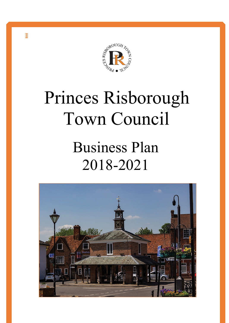

# Princes Risborough Town Council

## Business Plan 2018-2021



**Contents**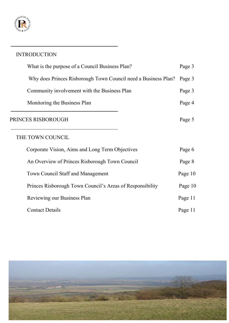

### INTRODUCTION

| Page 3  |
|---------|
|         |
| Page 3  |
| Page 4  |
| Page 5  |
|         |
| Page 6  |
| Page 8  |
| Page 10 |
| Page 10 |
| Page 11 |
| Page 11 |
|         |

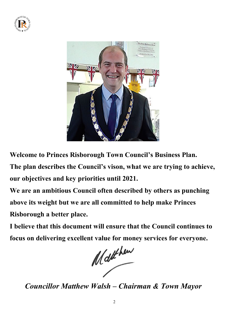



**Welcome to Princes Risborough Town Council's Business Plan.** 

**The plan describes the Council's vison, what we are trying to achieve, our objectives and key priorities until 2021.** 

**We are an ambitious Council often described by others as punching above its weight but we are all committed to help make Princes Risborough a better place.** 

**I believe that this document will ensure that the Council continues to focus on delivering excellent value for money services for everyone.**<br> *f* 

*Councillor Matthew Walsh – Chairman & Town Mayor*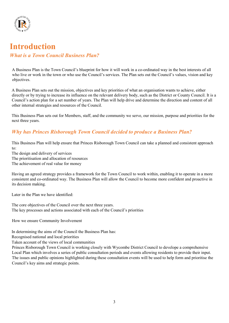

## **Introduction**

#### *What is a Town Council Business Plan?*

A Business Plan is the Town Council's blueprint for how it will work in a co-ordinated way in the best interests of all who live or work in the town or who use the Council's services. The Plan sets out the Council's values, vision and key objectives.

A Business Plan sets out the mission, objectives and key priorities of what an organisation wants to achieve, either directly or by trying to increase its influence on the relevant delivery body, such as the District or County Council. It is a Council's action plan for a set number of years. The Plan will help drive and determine the direction and content of all other internal strategies and resources of the Council.

This Business Plan sets out for Members, staff, and the community we serve, our mission, purpose and priorities for the next three years.

### *Why has Princes Risborough Town Council decided to produce a Business Plan?*

This Business Plan will help ensure that Princes Risborough Town Council can take a planned and consistent approach to:

The design and delivery of services

The prioritisation and allocation of resources

The achievement of real value for money

Having an agreed strategy provides a framework for the Town Council to work within, enabling it to operate in a more consistent and co-ordinated way. The Business Plan will allow the Council to become more confident and proactive in its decision making.

Later in the Plan we have identified:

The core objectives of the Council over the next three years. The key processes and actions associated with each of the Council's priorities

How we ensure Community Involvement

In determining the aims of the Council the Business Plan has:

Recognised national and local priorities

Taken account of the views of local communities

Princes Risborough Town Council is working closely with Wycombe District Council to develope a comprehensive Local Plan which involves a series of public consultation periods and events allowing residents to provide their input. The issues and public opinions highlighted during these consultation events will be used to help form and prioritise the Council's key aims and strategic points.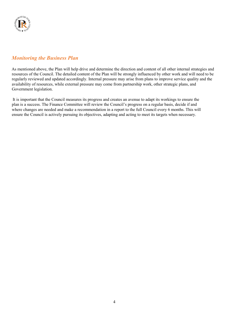

#### *Monitoring the Business Plan*

As mentioned above, the Plan will help drive and determine the direction and content of all other internal strategies and resources of the Council. The detailed content of the Plan will be strongly influenced by other work and will need to be regularly reviewed and updated accordingly. Internal pressure may arise from plans to improve service quality and the availability of resources, while external pressure may come from partnership work, other strategic plans, and Government legislation.

It is important that the Council measures its progress and creates an avenue to adapt its workings to ensure the plan is a success. The Finance Committee will review the Council's progress on a regular basis, decide if and where changes are needed and make a recommendation in a report to the full Council every 6 months. This will ensure the Council is actively pursuing its objectives, adapting and acting to meet its targets when necessary.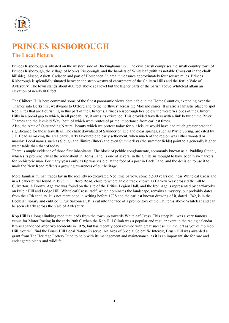

## **PRINCES RISBOROUGH The Local Picture**

Princes Risborough is situated on the western side of Buckinghamshire. The civil parish comprises the small country town of Princes Risborough, the village of Monks Risborough, and the hamlets of Whiteleaf (with its notable Cross cut in the chalk hillside), Alscot, Askett, Cadsden and part of Horsenden. In area it measures approximately four square miles. Princes Risborough is splendidly situated between the steep westward escarpment of the Chiltern Hills and the fertile Vale of Aylesbury. The town stands about 400 feet above sea level but the higher parts of the parish above Whiteleaf attain an elevation of nearly 800 feet.

The Chiltern Hills here command some of the finest panoramic views obtainable in the Home Counties, extending over the Thames into Berkshire, westwards to Oxford and to the northwest across the Midland shires. It is also a fantastic place to spot Red Kites that are flourishing in this part of the Chilterns. Princes Risborough lies below the western slopes of the Chiltern Hills in a broad gap to which, in all probability, it owes its existence. This provided travellers with a link between the River Thames and the Icknield Way, both of which were routes of prime importance from earliest times.

Also, the Area of Outstanding Natural Beauty which we protect today for our leisure would have had much greater practical significance for those travellers. The chalk downland of Saunderton Lee and clear springs, such as Pyrtle Spring, are cited by J.F. Head as making the area particularly favourable to early settlement, when much of the region was either wooded or marshy. Local names such as Slough and Ilimire (llmer) and even Summerleys (the summer fields) point to a generally higher water table than that of today.

There is ample evidence of those first inhabitants. The block of pebble conglomerate, commonly known as a 'Pudding Stone', which sits prominently at the roundabout in Horns Lane, is one of several in the Chilterns thought to have been way-markers for prehistoric man. For many years only its tip was visible, at the foot of a post in Back Lane, and the decision to use it to mark the New Road reflects a growing awareness of our heritage.

More familiar human traces lay in the recently re-excavated Neolithic barrow, some 5,500 years old, near Whiteleaf Cross and in a Beaker burial found in 1983 in Clifford Road, close to where an old track known as Barrow Way crossed the hill to Culverton. A Bronze Age axe was found on the site of the British Legion Hall, and the Iron Age is represented by earthworks on Pulpit Hill and Lodge Hill. Whiteleaf Cross itself, which dominates the landscape, remains a mystery, but probably dates from the 17th century. It is not mentioned in writing before 1738 and the earliest known drawing of it, dated 1742, is in the Bodleian library and entitled 'Crux Saxonica'. It is cut into the face of a promontory of the Chilterns above Whiteleaf and can be seen clearly across the Vale of Aylesbury.

Kop Hill is a long climbing road that leads from the town up towards Whiteleaf Cross. This steep hill was a very famous venue for Motor Racing in the early 20th C when the Kop Hill Climb was a popular and regular event in the racing calendar. It was abandoned after two accidents in 1925, but has recently been revived with great success. On the left as you climb Kop Hill, you will find the Brush Hill Local Nature Reserve. An Area of Special Scientific Interest, Brush Hill was awarded a grant from The Heritage Lottery Fund to help with its management and maintenance, as it is an important site for rare and endangered plants and wildlife.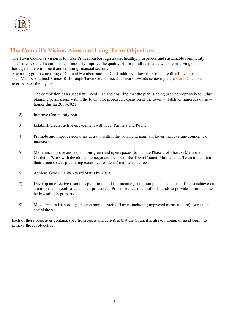

### **The Council's Vision, Aims and Long-Term Objectives**

The Town Council's vision is to make Princes Risborough a safe, healthy, prosperous and sustainable community. The Town Council's aim is to continuously improve the quality of life for all residents, whilst conserving our heritage and environment and retaining financial security.

A working group consisting of Council Members and the Clerk addressed how the Council will achieve this and as such Members agreed Princes Risborough Town Council needs to work towards achieving eight Core Objectives over the next three years;

- 1) The completion of a successful Local Plan and ensuring that the plan is being used appropriately to judge planning permissions within the town. The proposed expansion of the town will deliver hundreds of new homes during 2018-2021
- 2) Improve Community Spirit
- 3) Establish greater active engagement with local Partners and Public
- 4) Promote and improve economic activity within the Town and maintain lower than average council tax increases.
- 5) Maintain, improve and expand our green and open spaces (to include Phase 2 of Stratton Memorial Garden). Work with developers to negotiate the use of the Town Council Maintenance Team to maintain their green spaces precluding excessive residents' maintenance fees.
- 6) Achieve Gold Quality Award Status by 2019.
- 7) Develop an effective resources plan (to include an income generation plan, adequate staffing to achieve our ambitions and good value council processes). Prioritise investment of CIL funds to provide future income by investing in property.
- 8) Make Princes Risborough an even more attractive Town (including improved infrastructure) for residents and visitors.

Each of these objectives contains specific projects and activities that the Council is already doing, or must begin, to achieve the set objective.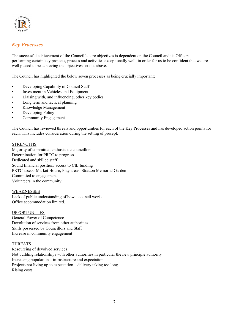

#### *Key Processes*

The successful achievement of the Council's core objectives is dependent on the Council and its Officers performing certain key projects, process and activities exceptionally well, in order for us to be confident that we are well placed to be achieving the objectives set out above.

The Council has highlighted the below seven processes as being crucially important;

- Developing Capability of Council Staff
- Investment in Vehicles and Equipment.
- Liaising with, and influencing, other key bodies
- Long term and tactical planning
- Knowledge Management
- Developing Policy
- Community Engagement

The Council has reviewed threats and opportunities for each of the Key Processes and has developed action points for each. This includes consideration during the setting of precept.

#### **STRENGTHS**

Majority of committed enthusiastic councillors Determination for PRTC to progress Dedicated and skilled staff Sound financial position/ access to CIL funding PRTC assets- Market House, Play areas, Stratton Memorial Garden Committed to engagement Volunteers in the community

WEAKNESSES Lack of public understanding of how a council works Office accommodation limited.

#### OPPORTUNITIES

General Power of Competence Devolution of services from other authorities Skills possessed by Councillors and Staff Increase in community engagement

#### THREATS

Resourcing of devolved services Not building relationships with other authorities in particular the new principle authority Increasing population – infrastructure and expectation Projects not living up to expectation – delivery taking too long Rising costs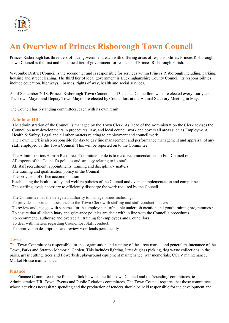

## **An Overview of Princes Risborough Town Council**

Princes Risborough has three tiers of local government, each with differing areas of responsibilities. Princes Risborough Town Council is the first and most local tier of government for residents of Princes Risborough Parish.

Wycombe District Council is the second tier and is responsible for services within Princes Risborough including, parking, housing and street cleaning. The third tier of local government is Buckinghamshire County Council, its responsibilities include education, highways, libraries, rights of way, health and social services.

As of September 2018, Princes Risborough Town Council has 13 elected Councillors who are elected every four years. The Town Mayor and Deputy Town Mayor are elected by Councillors at the Annual Statutory Meeting in May.

The Council has 6 standing committees, each with its own remit;

#### **Admin & HR**

The administration of the Council is managed by the Town Clerk. As Head of the Administration the Clerk advises the Council on new developments in procedures, law, and local council work and covers all areas such as Employment, Health & Safety, Legal and all other matters relating to employment and council work.

The Town Clerk is also responsible for day to day line management and performance management and appraisal of any staff employed by the Town Council. This will be reported on to the Committee.

The Administration/Human Resources Committee's role is to make recommendations to Full Council on:-

All aspects of the Council's policies and strategy relating to its staff.

All staff recruitment, appointments, training and disciplinary matters·

The training and qualification policy of the Council

The provision of office accommodation  $\cdot$ 

Establishing the health, safety and welfare policies of the Council and oversee implementation and compliance The staffing levels necessary to efficiently discharge the work required by the Council

The Committee has the delegated authority to manage issues including: -

To provide support and assistance to the Town Clerk with staffing and staff conduct matters

To review and engage with schemes for the employment of people under job creation and youth training programmes ·

To ensure that all disciplinary and grievance policies are dealt with in line with the Council's procedures ·

To recommend, authorise and oversee all training for employees and Councillors ·

To deal with matters regarding Councillor /Staff conduct.

To approve job descriptions and review workloads periodically

#### **Town**

The Town Committee is responsible for the organisation and running of the street market and general maintenance of the Town, Parks and Stratton Memorial Garden. This includes lighting, litter & glass picking, dog waste collections in the parks, grass cutting, trees and flowerbeds, playground equipment maintenance, war memorials, CCTV maintenance, Market House maintenance.

#### **Finance**

The Finance Committee is the financial link between the full Town Council and the 'spending' committees, ie Administration/HR, Town, Events and Public Relations committees. The Town Council requires that those committees whose activities necessitate spending and the production of tenders should be held responsible for the development and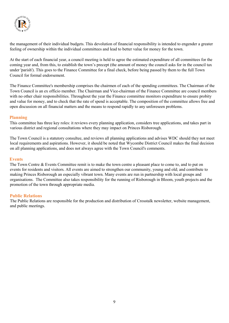

the management of their individual budgets. This devolution of financial responsibility is intended to engender a greater feeling of ownership within the individual committees and lead to better value for money for the town.

At the start of each financial year, a council meeting is held to agree the estimated expenditure of all committees for the coming year and, from this, to establish the town's precept (the amount of money the council asks for in the council tax under 'parish'). This goes to the Finance Committee for a final check, before being passed by them to the full Town Council for formal endorsement.

The Finance Committee's membership comprises the chairmen of each of the spending committees. The Chairman of the Town Council is an ex officio member. The Chairman and Vice-chairman of the Finance Committee are council members with no other chair responsibilities. Throughout the year the Finance committee monitors expenditure to ensure probity and value for money, and to check that the rate of spend is acceptable. The composition of the committee allows free and open discussion on all financial matters and the means to respond rapidly to any unforeseen problems.

#### **Planning**

This committee has three key roles: it reviews every planning application, considers tree applications, and takes part in various district and regional consultations where they may impact on Princes Risborough.

The Town Council is a statutory consultee, and reviews all planning applications and advises WDC should they not meet local requirements and aspirations. However, it should be noted that Wycombe District Council makes the final decision on all planning applications, and does not always agree with the Town Council's comments.

#### **Events**

The Town Centre & Events Committee remit is to make the town centre a pleasant place to come to, and to put on events for residents and visitors. All events are aimed to strengthen our community, young and old; and contribute to making Princes Risborough an especially vibrant town. Many events are run in partnership with local groups and organisations. The Committee also takes responsibility for the running of Risborough in Bloom, youth projects and the promotion of the town through appropriate media.

#### **Public Relations**

The Public Relations are responsible for the production and distribution of Crosstalk newsletter, website management, and public meetings.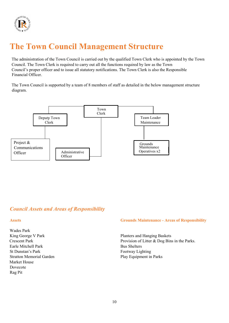

## **The Town Council Management Structure**

The administration of the Town Council is carried out by the qualified Town Clerk who is appointed by the Town Council. The Town Clerk is required to carry out all the functions required by law as the Town Council's proper officer and to issue all statutory notifications. The Town Clerk is also the Responsible Financial Officer.

The Town Council is supported by a team of 8 members of staff as detailed in the below management structure diagram.



#### *Council Assets and Areas of Responsibility*

Wades Park Earle Mitchell Park Bus Shelters St Dunstan's Park Footway Lighting Stratton Memorial Garden **Play Equipment in Parks** Market House Dovecote Rag Pit

#### **Assets Grounds Maintenance - Areas of Responsibility**

King George V Park Planters and Hanging Baskets Crescent Park Provision of Litter & Dog Bins in the Parks.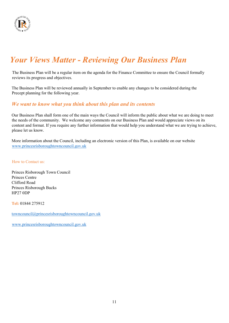

## *Your Views Matter - Reviewing Our Business Plan*

The Business Plan will be a regular item on the agenda for the Finance Committee to ensure the Council formally reviews its progress and objectives.

The Business Plan will be reviewed annually in September to enable any changes to be considered during the Precept planning for the following year.

#### *We want to know what you think about this plan and its contents*

Our Business Plan shall form one of the main ways the Council will inform the public about what we are doing to meet the needs of the community. We welcome any comments on our Business Plan and would appreciate views on its content and format. If you require any further information that would help you understand what we are trying to achieve, please let us know.

More information about the Council, including an electronic version of this Plan, is available on our website [www.princesrisboroughtowncouncil.gov.uk](http://www.princesrisboroughtowncouncil.gov.uk/)

How to Contact us:

Princes Risborough Town Council Princes Centre Clifford Road Princes Risborough Bucks HP27 0DP

**Tel:** 01844 275912

[towncouncil@princesrisboroughtowncouncil.gov.uk](mailto:towncouncil@princesrisboroughtowncouncil.gov.uk)

[www.princesrisboroughtowncouncil.gov.uk](http://www.princesrisboroughtowncouncil.gov.uk/)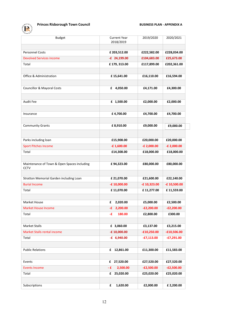#### **Princes Risborough Town Council <b>BUSINESS PLAN - APPENDIX A**

| <b>Budget</b>                                              | <b>Current Year</b><br>2018/2019 | 2019/2020     | 2020/2021     |
|------------------------------------------------------------|----------------------------------|---------------|---------------|
|                                                            |                                  |               |               |
| <b>Personnel Costs</b>                                     | £ 203,512.00                     | £222,582.00   | £228,034.00   |
| <b>Devolved Services income</b>                            | $-E$ 24,199.00                   | £104,683.00   | £25,673.00    |
| Total                                                      | £179, 313.00                     | £117,899.00   | £202,361.00   |
|                                                            |                                  |               |               |
| <b>Office &amp; Administration</b>                         | £15,641.00                       | £16,110.00    | £16,594.00    |
|                                                            |                                  |               |               |
| <b>Councillor &amp; Mayoral Costs</b>                      | £ 4,050.00                       | £4,171.00     | £4,300.00     |
|                                                            |                                  |               |               |
| <b>Audit Fee</b>                                           | £ 1,500.00                       | £2,000.00     | £2,000.00     |
|                                                            |                                  |               |               |
| Insurance                                                  | £4,700.00                        | £4,700.00     | £4,700.00     |
|                                                            |                                  |               |               |
| <b>Community Grants</b>                                    | £8,910.00                        | £9,000.00     | £9,000.00     |
|                                                            |                                  |               |               |
|                                                            |                                  |               |               |
| Parks including loan                                       | £15,908.00                       | £20,000.00    | £20,000.00    |
| <b>Sport Pitches Income</b>                                | $-E 1,600.00$                    | $-E 2,000.00$ | $-E 2,000.00$ |
| Total                                                      | £14,308.00                       | £18,000.00    | £18,000.00    |
|                                                            |                                  |               |               |
| Maintenance of Town & Open Spaces including<br><b>CCTV</b> | £94,323.00                       | £80,000.00    | £80,000.00    |
|                                                            |                                  |               |               |
| Stratton Memorial Garden including Loan                    | £ 21,070.00                      | £21,600.00    | £22,140.00    |
| <b>Burial Income</b>                                       | $-E 10,000.00$                   | -£10,323.00   | -£10,500.00   |
| Total                                                      | £11,070.00                       | £11,277.00    | £11,559.00    |
|                                                            |                                  |               |               |
| <b>Market House</b>                                        | £<br>2,020.00                    | £5,000.00     | £2,500.00     |
| <b>Market House Income</b>                                 | E 2,200.00                       | E2,200.00-    | $-E2,200.00$  |
| Total                                                      | -£<br>180.00                     | £2,800.00     | £300.00       |
|                                                            |                                  |               |               |
| <b>Market Stalls</b>                                       | £ 3,060.00                       | £3,137.00     | £3,215.00     |
| Market Stalls rental income                                | $-E 10,000.00$                   | $-£10,250.00$ | $-£10,506.00$ |
| Total                                                      | $-E$ 6,940.00                    | $-£7,113.00$  | $-E7,291.00$  |
|                                                            |                                  |               |               |
| <b>Public Relations</b>                                    | 12,861.00<br>£                   | £11,300.00    | £11,583.00    |
|                                                            |                                  |               |               |
| Events                                                     | £ 27,520.00                      | £27,520.00    | £27,520.00    |
| <b>Events Income</b>                                       | -£<br>2,500.00                   | $-E2,500.00$  | $-E2,500.00$  |
| Total                                                      | 25,020.00<br>£                   | £25,020.00    | £25,020.00    |
|                                                            |                                  |               |               |
| Subscriptions                                              | £<br>1,620.00                    | £2,000.00     | £ 2,200.00    |